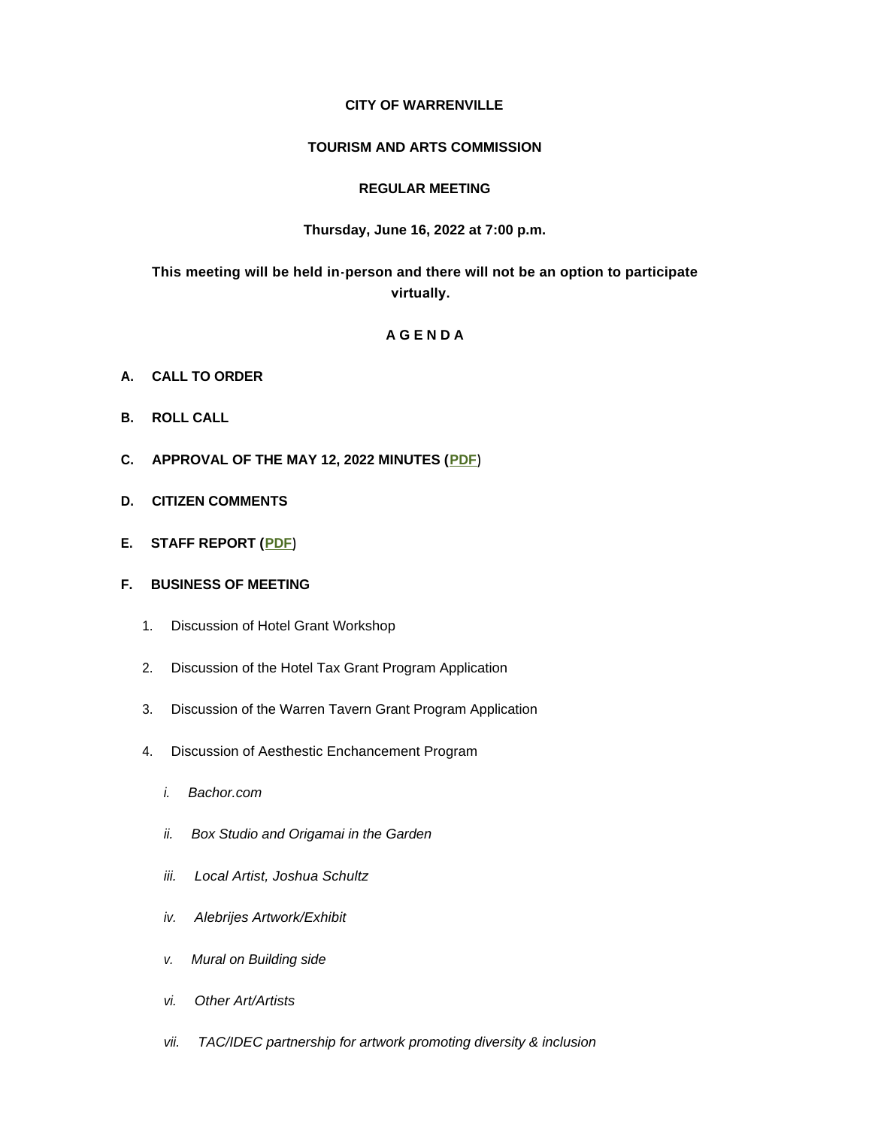## **CITY OF WARRENVILLE**

#### **TOURISM AND ARTS COMMISSION**

### **REGULAR MEETING**

### **Thursday, June 16, 2022 at 7:00 p.m.**

# **This meeting will be held in-person and there will not be an option to participate virtually.**

## **A G E N D A**

- **A. CALL TO ORDER**
- **B. ROLL CALL**
- **C. APPROVAL OF THE MAY 12, 2022 MINUTES ([PDF\)](https://www.warrenville.il.us/DocumentCenter/View/19280)**
- **D. CITIZEN COMMENTS**
- **E. STAFF REPORT ([PDF\)](https://www.warrenville.il.us/DocumentCenter/View/19274)**

### **F. BUSINESS OF MEETING**

- 1. Discussion of Hotel Grant Workshop
- 2. Discussion of the Hotel Tax Grant Program Application
- 3. Discussion of the Warren Tavern Grant Program Application
- 4. Discussion of Aesthestic Enchancement Program
	- *i. Bachor.com*
	- *ii. Box Studio and Origamai in the Garden*
	- *iii. Local Artist, Joshua Schultz*
	- *iv. Alebrijes Artwork/Exhibit*
	- *v. Mural on Building side*
	- *vi. Other Art/Artists*
	- *vii. TAC/IDEC partnership for artwork promoting diversity & inclusion*